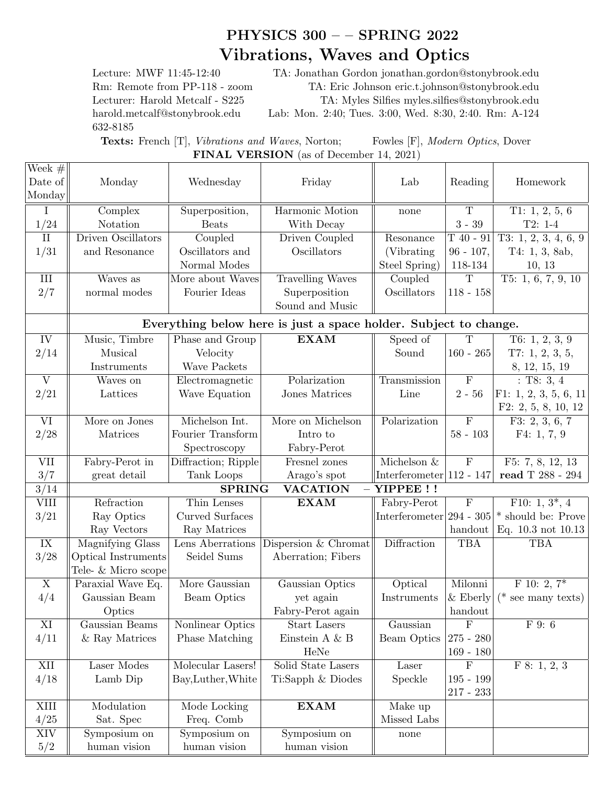## PHYSICS 300 – – SPRING 2022 Vibrations, Waves and Optics

632-8185

Lecture: MWF 11:45-12:40 TA: Jonathan Gordon jonathan.gordon@stonybrook.edu Rm: Remote from PP-118 - zoom TA: Eric Johnson eric.t.johnson@stonybrook.edu Lecturer: Harold Metcalf - S225 TA: Myles Silfies myles.silfies@stonybrook.edu harold.metcalf@stonybrook.edu Lab: Mon. 2:40; Tues. 3:00, Wed. 8:30, 2:40. Rm: A-124

Texts: French [T], Vibrations and Waves, Norton; Fowles [F], Modern Optics, Dover FINAL VERSION (as of December 14, 2021)

| Week $#$<br>Date of                                              | Monday                                           | Wednesday           | Friday                  | Lab                         | Reading                 | Homework                                      |
|------------------------------------------------------------------|--------------------------------------------------|---------------------|-------------------------|-----------------------------|-------------------------|-----------------------------------------------|
| Monday                                                           |                                                  |                     |                         |                             |                         |                                               |
| I                                                                | Complex                                          | Superposition,      | Harmonic Motion         | none                        | $\overline{T}$          | T1: 1, 2, 5, 6                                |
| 1/24                                                             | Notation                                         | <b>Beats</b>        | With Decay              |                             | $3 - 39$                | $T2: 1-4$                                     |
| $\overline{\rm II}$                                              | Driven Oscillators                               | Coupled             | Driven Coupled          | Resonance                   | $T$ 40 - 91             | T3: 1, 2, 3, 4, 6, 9                          |
| 1/31                                                             | and Resonance                                    | Oscillators and     | Oscillators             | (Vibrating)                 | $96 - 107$ ,            | T4: $1, 3, 8ab,$                              |
|                                                                  |                                                  | Normal Modes        |                         | Steel Spring)               | 118-134                 | 10, 13                                        |
| III                                                              | Waves as                                         | More about Waves    | <b>Travelling Waves</b> | Coupled                     | $\overline{T}$          | T5: 1, 6, 7, 9, 10                            |
| 2/7                                                              | normal modes                                     | Fourier Ideas       | Superposition           | Oscillators                 | $118 - 158$             |                                               |
|                                                                  |                                                  |                     | Sound and Music         |                             |                         |                                               |
| Everything below here is just a space holder. Subject to change. |                                                  |                     |                         |                             |                         |                                               |
| IV                                                               | Music, Timbre                                    | Phase and Group     | <b>EXAM</b>             | Speed of                    | $\mathbf T$             | T6: $1, 2, 3, 9$                              |
| 2/14                                                             | Musical                                          | Velocity            |                         | Sound                       | $160 - 265$             | T7: $1, 2, 3, 5,$                             |
|                                                                  | Instruments                                      | Wave Packets        |                         |                             |                         | 8, 12, 15, 19                                 |
| $\overline{\mathrm{V}}$                                          | Waves on                                         | Electromagnetic     | Polarization            | Transmission                | $\overline{F}$          | : T8: 3, 4                                    |
| 2/21                                                             | Lattices                                         | Wave Equation       | Jones Matrices          | Line                        | $2 - 56$                | F1: 1, 2, 3, 5, 6, 11                         |
|                                                                  |                                                  |                     |                         |                             |                         | F2: 2, 5, 8, 10, 12                           |
| $\overline{\text{VI}}$                                           | More on Jones                                    | Michelson Int.      | More on Michelson       | Polarization                | $\overline{F}$          | F3: 2, 3, 6, 7                                |
| 2/28                                                             | Matrices                                         | Fourier Transform   | Intro to                |                             | $58 - 103$              | F4: 1, 7, 9                                   |
|                                                                  |                                                  | Spectroscopy        | Fabry-Perot             |                             |                         |                                               |
| <b>VII</b>                                                       | Fabry-Perot in                                   | Diffraction; Ripple | Fresnel zones           | Michelson &                 | $\overline{F}$          | F5: 7, 8, 12, 13                              |
| 3/7                                                              | great detail                                     | Tank Loops          | Arago's spot            | Interferometer $ 112 - 147$ |                         | read T $288$ - $294\,$                        |
| 3/14                                                             | <b>SPRING</b><br><b>VACATION</b><br>$-$ YIPPEE!! |                     |                         |                             |                         |                                               |
| <b>VIII</b>                                                      | Refraction                                       | Thin Lenses         | <b>EXAM</b>             | Fabry-Perot                 | $\overline{\mathrm{F}}$ | F10: 1, $3^*$ , 4                             |
| 3/21                                                             | Ray Optics                                       | Curved Surfaces     |                         |                             |                         | Interferometer $ 294 - 305 $ should be: Prove |
|                                                                  | Ray Vectors                                      | Ray Matrices        |                         |                             | handout                 | Eq. 10.3 not 10.13                            |
| IX                                                               | Magnifying Glass                                 | Lens Aberrations    | Dispersion & Chromat    | Diffraction                 | <b>TBA</b>              | <b>TBA</b>                                    |
| 3/28                                                             | Optical Instruments                              | Seidel Sums         | Aberration; Fibers      |                             |                         |                                               |
|                                                                  | Tele- & Micro scope                              |                     |                         |                             |                         |                                               |
| $\overline{X}$                                                   | Paraxial Wave Eq.                                | More Gaussian       | Gaussian Optics         | Optical                     | Milonni                 | $F$ 10: 2, $7^*$                              |
| 4/4                                                              | Gaussian Beam                                    | Beam Optics         | yet again               | Instruments                 | $&$ Eberly              | ( $*$ see many texts)                         |
|                                                                  | Optics                                           |                     | Fabry-Perot again       |                             | handout                 |                                               |
| XI                                                               | Gaussian Beams                                   | Nonlinear Optics    | <b>Start Lasers</b>     | Gaussian                    | $\overline{F}$          | F9:6                                          |
| 4/11                                                             | & Ray Matrices                                   | Phase Matching      | Einstein A & B          | Beam Optics                 | $ 275 - 280$            |                                               |
|                                                                  |                                                  |                     | HeNe                    |                             | $169 - 180$             |                                               |
| XII                                                              | Laser Modes                                      | Molecular Lasers!   | Solid State Lasers      | Laser                       | $\overline{F}$          | F 8: 1, 2, 3                                  |
| 4/18                                                             | Lamb Dip                                         | Bay, Luther, White  | Ti:Sapph $\&$ Diodes    | Speckle                     | $195 - 199$             |                                               |
|                                                                  |                                                  |                     |                         |                             | $217 - 233$             |                                               |
| XIII                                                             | Modulation                                       | Mode Locking        | <b>EXAM</b>             | Make up                     |                         |                                               |
| 4/25                                                             | Sat. Spec                                        | Freq. Comb          |                         | Missed Labs                 |                         |                                               |
| XIV                                                              | Symposium on                                     | Symposium on        | Symposium on            | none                        |                         |                                               |
| 5/2                                                              | human vision                                     | human vision        | human vision            |                             |                         |                                               |